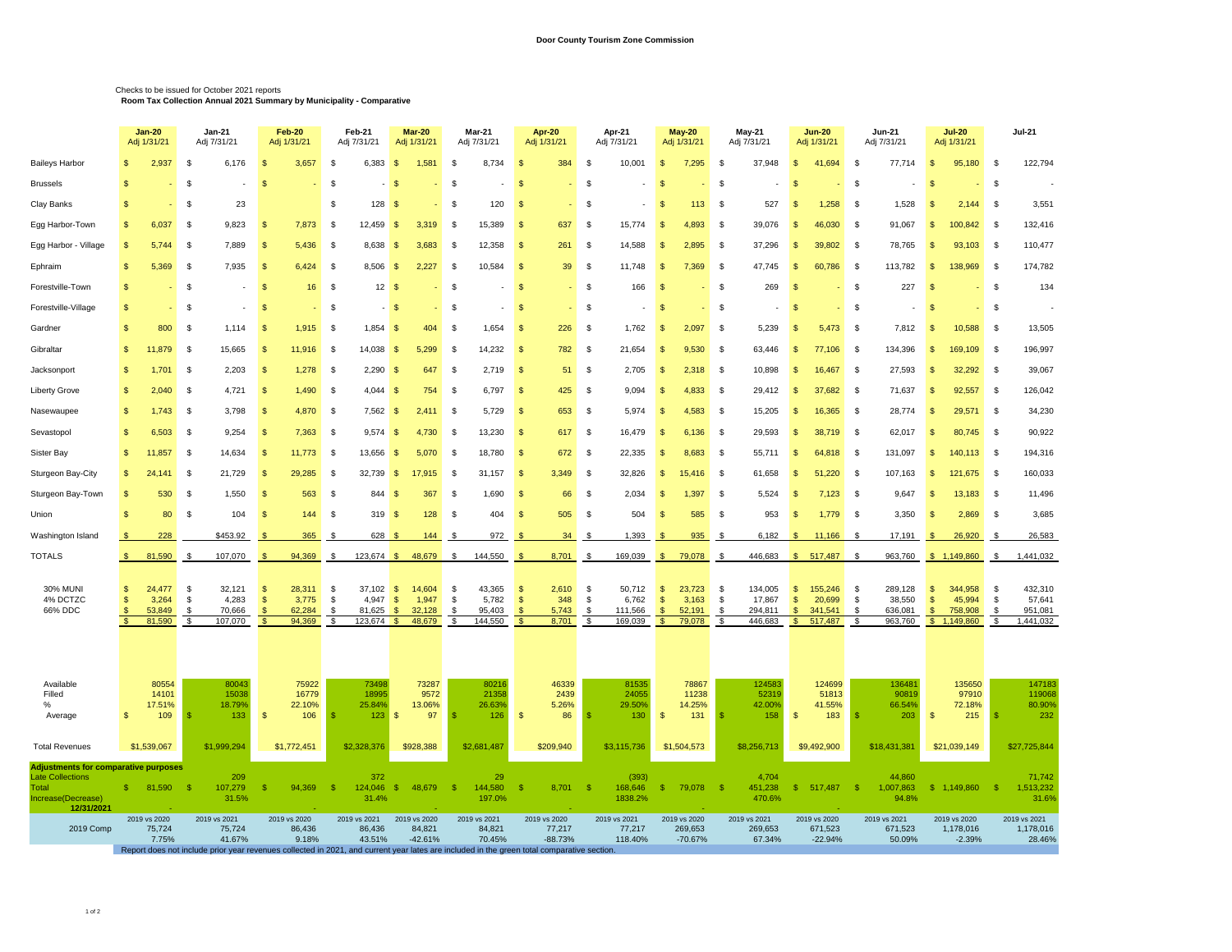## Checks to be issued for October 2021 reports **Room Tax Collection Annual 2021 Summary by Municipality - Comparative**

|                                                                                                                     |              | <b>Jan 20</b><br>Jan-21<br>Adj 1/31/21<br>Adj 7/31/21 |                                                                                                                                                                                | <b>Feb-20</b><br>Adj 1/31/21                                                        |                              | Feb-21<br>Adj 7/31/21                     |                                | Mar-20<br>Adj 1/31/21               | Mar-21<br>Adj 7/31/21                                         |                    | Apr 20<br>Adj 1/31/21               |                                   | Apr-21<br>Adj 7/31/21                 |                                                     | May 20<br>Adj 1/31/21                |                                              | May-21<br>Adj 7/31/21                   | <b>Jun-20</b><br>Adj 1/31/21                                                                               |                          | <b>Jun-21</b><br>Adj 7/31/21            |                                                 | <b>Jul 20</b><br>Adj 1/31/21                |                        | <b>Jul-21</b>                             |  |
|---------------------------------------------------------------------------------------------------------------------|--------------|-------------------------------------------------------|--------------------------------------------------------------------------------------------------------------------------------------------------------------------------------|-------------------------------------------------------------------------------------|------------------------------|-------------------------------------------|--------------------------------|-------------------------------------|---------------------------------------------------------------|--------------------|-------------------------------------|-----------------------------------|---------------------------------------|-----------------------------------------------------|--------------------------------------|----------------------------------------------|-----------------------------------------|------------------------------------------------------------------------------------------------------------|--------------------------|-----------------------------------------|-------------------------------------------------|---------------------------------------------|------------------------|-------------------------------------------|--|
| <b>Baileys Harbor</b>                                                                                               | -S           | 2,937                                                 | \$<br>6,176                                                                                                                                                                    | $\sqrt{3}$<br>3,657                                                                 | \$                           | 6,383                                     | $\mathfrak{s}$                 | 1,581                               | \$<br>8,734                                                   | - \$               | 384                                 | \$                                | 10,001                                | $\mathfrak{s}$                                      | 7,295                                | -\$                                          | 37,948                                  | $\mathfrak{s}$<br>41,694                                                                                   | \$                       | 77,714                                  | $\mathfrak{s}$                                  | 95,180                                      | \$                     | 122,794                                   |  |
| <b>Brussels</b>                                                                                                     |              |                                                       | -S                                                                                                                                                                             | S.                                                                                  | \$                           |                                           | -\$                            |                                     | -S                                                            | $\mathbf{R}$       |                                     | - \$                              |                                       | $\mathcal{F}$                                       |                                      | $\mathfrak{F}$                               |                                         | $\mathfrak{g}$                                                                                             | S                        |                                         | $\mathbf{R}$                                    |                                             | \$                     |                                           |  |
| Clay Banks                                                                                                          |              |                                                       | 23<br>-\$                                                                                                                                                                      |                                                                                     | \$                           | 128                                       | \$                             |                                     | 120<br>S                                                      | - \$               |                                     | -\$                               |                                       | -9                                                  | 113                                  | -\$                                          | 527                                     | 1,258<br>-S                                                                                                | - \$                     | 1,528                                   | S.                                              | 2,144                                       | \$                     | 3,551                                     |  |
| Egg Harbor-Town                                                                                                     |              | 6,037                                                 | 9,823<br>\$                                                                                                                                                                    | 7,873<br>S                                                                          | - \$                         | 12,459                                    | -\$                            | 3,319                               | 15,389<br>£                                                   | -S                 | 637                                 | - \$                              | 15,774                                | -\$                                                 | 4,893                                | -\$                                          | 39,076                                  | <b>S</b><br>46,030                                                                                         | \$                       | 91,067                                  | -S                                              | 100,842                                     | - \$                   | 132,416                                   |  |
| Egg Harbor - Village                                                                                                | -S           | 5,744                                                 | 7,889<br>-\$                                                                                                                                                                   | S<br>5,436                                                                          | - \$                         | 8,638                                     | - \$                           | 3,683                               | 12,358<br>-S                                                  | -\$                | 261                                 | - \$                              | 14,588                                | -\$                                                 | 2,895                                | -\$                                          | 37,296                                  | -S<br>39,802                                                                                               | \$                       | 78,765                                  | -\$                                             | 93,103                                      | - \$                   | 110,477                                   |  |
| Ephraim                                                                                                             | -S           | 5,369                                                 | 7,935<br>\$                                                                                                                                                                    | 6,424<br>S                                                                          | -\$                          | 8,506                                     | -\$                            | 2,227                               | 10,584<br>£                                                   | -\$                | 39                                  | - \$                              | 11,748                                | $\mathfrak{s}$                                      | 7,369                                | -\$                                          | 47,745                                  | <b>S</b><br>60,786                                                                                         | $\mathbf{\$}$            | 113,782                                 | -S                                              | 138,969                                     | -S                     | 174,782                                   |  |
| Forestville-Town                                                                                                    |              |                                                       | \$                                                                                                                                                                             | \$                                                                                  | -\$<br>16                    | 12 <sup>2</sup>                           | - \$                           |                                     | -S                                                            | -\$                |                                     | - \$                              | 166                                   | -\$                                                 |                                      | -\$                                          | 269                                     | -\$                                                                                                        | \$                       | 227                                     | -8                                              |                                             | \$                     | 134                                       |  |
| Forestville-Village                                                                                                 |              |                                                       | $\mathbf{\$}$                                                                                                                                                                  | <sup>\$</sup>                                                                       | <b>S</b>                     |                                           | -\$                            |                                     | -S                                                            | $\mathbf{\hat{s}}$ |                                     | <sup>\$</sup>                     |                                       | $\mathcal{F}$                                       |                                      | \$                                           |                                         | - \$                                                                                                       | <b>S</b>                 |                                         | -S                                              |                                             | \$                     |                                           |  |
| Gardner                                                                                                             | -S           | 800                                                   | \$<br>1,114                                                                                                                                                                    | 1,915<br>$\mathfrak{s}$                                                             | \$                           | 1,854                                     | - \$                           | 404                                 | 1,654<br>-S                                                   | $\sqrt{3}$         | 226                                 | \$                                | 1,762                                 | -\$                                                 | 2,097                                | \$                                           | 5,239                                   | $\mathfrak{s}$<br>5,473                                                                                    | \$                       | 7,812                                   | $\sqrt{3}$                                      | 10,588                                      | \$                     | 13,505                                    |  |
| Gibraltar                                                                                                           | -S           | 11.879                                                | \$<br>15,665                                                                                                                                                                   | 11,916<br>S                                                                         | -\$                          | 14,038                                    | -\$                            | 5.299                               | 14,232<br>£                                                   | -\$                | 782                                 | - \$                              | 21,654                                | -S                                                  | 9.530                                | -\$                                          | 63,446                                  | $\mathbf{s}$<br>77,106                                                                                     | \$                       | 134,396                                 | - \$                                            | 169,109                                     | - \$                   | 196,997                                   |  |
| Jacksonport                                                                                                         | -S           | 1,701                                                 | \$<br>2,203                                                                                                                                                                    | 1,278<br>\$                                                                         | -\$                          | 2,290                                     | - \$                           | 647                                 | 2,719<br>£                                                    | -\$                | 51                                  | - \$                              | 2,705                                 | $\mathfrak{s}$                                      | 2,318                                | \$                                           | 10,898                                  | 16,467<br>-\$                                                                                              | \$                       | 27,593                                  | S                                               | 32,292                                      | \$                     | 39,067                                    |  |
| <b>Liberty Grove</b>                                                                                                |              | 2,040                                                 | \$<br>4,721                                                                                                                                                                    | 1,490<br>S.                                                                         | -\$                          | 4,044                                     | - \$                           | 754                                 | 6,797<br>£.                                                   | -\$                | 425                                 | - \$                              | 9,094                                 | -\$                                                 | 4,833                                | -\$                                          | 29,412                                  | 37,682<br>-\$                                                                                              | \$                       | 71,637                                  | -8                                              | 92,557                                      | - \$                   | 126,042                                   |  |
| Nasewaupee                                                                                                          | $\mathbf{s}$ | 1,743                                                 | 3,798<br>$\mathbf{\$}$                                                                                                                                                         | 4,870<br><sup>\$</sup>                                                              | \$                           | 7,562                                     | - \$                           | 2.411                               | 5,729<br>-S                                                   | $\sqrt{3}$         | 653                                 | - \$                              | 5,974                                 | $\mathbf{\mathfrak{R}}$                             | 4,583                                | \$                                           | 15,205                                  | $\mathbf{s}$<br>16,365                                                                                     | \$                       | 28,774                                  | -\$                                             | 29,571                                      | \$                     | 34,230                                    |  |
| Sevastopol                                                                                                          |              | 6,503                                                 | \$<br>9,254                                                                                                                                                                    | 7,363<br>\$.                                                                        | -\$                          | 9,574                                     | -\$                            | 4.730                               | -9<br>13,230                                                  | <b>S</b>           | 617                                 | - \$                              | 16,479                                | -\$                                                 | 6.136                                | - \$                                         | 29,593                                  | $\mathfrak{F}$<br>38,719                                                                                   | - \$                     | 62,017                                  | $\mathbf{R}$                                    | 80,745                                      | - \$                   | 90,922                                    |  |
| Sister Bay                                                                                                          | -S           | 11,857                                                | 14,634<br>\$                                                                                                                                                                   | 11,773<br>-\$                                                                       | -\$                          | 13,656                                    | -\$                            | 5,070                               | 18,780<br>- \$                                                | $\sqrt{3}$         | 672                                 | - \$                              | 22,335                                | $\mathbf{\hat{s}}$                                  | 8,683                                | -\$                                          | 55,711                                  | -\$<br>64,818                                                                                              | -\$                      | 131,097                                 | \$                                              | 140,113                                     | -\$                    | 194,316                                   |  |
| Sturgeon Bay-City                                                                                                   | -S           | 24.14'                                                | \$<br>21,729                                                                                                                                                                   | <sup>\$</sup><br>29,285                                                             | \$                           | 32,739                                    | $\mathfrak{s}$                 | 17.915                              | -S<br>31,157                                                  | $\sqrt{3}$         | 3,349                               | -\$                               | 32,826                                | $\mathbf{s}$                                        | 15,416                               | -\$                                          | 61,658                                  | 51,220<br>-\$                                                                                              | \$                       | 107,163                                 | \$                                              | 121,675                                     | -\$                    | 160,033                                   |  |
| Sturgeon Bay-Town                                                                                                   | \$           | 530                                                   | - \$<br>1,550                                                                                                                                                                  | -\$<br>563                                                                          | -\$                          | 844                                       | -96                            | 367                                 | 1,690<br>\$                                                   | $\sqrt{3}$         | 66                                  | -\$                               | 2,034                                 | -\$                                                 | 1.397                                | -\$                                          | 5,524                                   | \$<br>7,123                                                                                                | \$                       | 9,647                                   | -\$                                             | 13,183                                      | -\$                    | 11,496                                    |  |
| Union                                                                                                               |              | 80                                                    | \$<br>104                                                                                                                                                                      | <sup>\$</sup>                                                                       | 144<br>-\$                   | 319                                       | - \$                           | 128                                 | 404<br>-S                                                     | -\$                | 505                                 | -\$                               | 504                                   | <b>S</b>                                            | 585                                  | -\$                                          | 953                                     | $\mathfrak{s}$<br>1,779                                                                                    | $\mathbf{\$}$            | 3,350                                   | -\$                                             | 2,869                                       | \$                     | 3,685                                     |  |
| Washington Island                                                                                                   |              | 228                                                   | \$453.92                                                                                                                                                                       |                                                                                     | 365<br>-\$                   | 628                                       |                                | 144                                 | 972<br>- \$                                                   | -8                 | 34                                  | -\$                               | 1,393                                 |                                                     | 935                                  | -\$                                          | 6,182                                   | 11,166<br>-\$                                                                                              | -9                       | 17,191                                  | - \$                                            | 26,920                                      | - \$                   | 26,583                                    |  |
| <b>TOTALS</b>                                                                                                       | $\mathbb{S}$ | 81,590                                                | 107,070<br>$\mathbf{\$}$                                                                                                                                                       | 94,369<br><sup>\$</sup>                                                             | \$                           | $123,674$ \$                              |                                | 48,679                              | 144,550<br>-S                                                 | - \$               | 8,701                               | \$                                | 169,039                               | $\frac{1}{2}$                                       | 79,078                               | -\$                                          | 446,683                                 | 517,487<br>$\mathbb{S}$                                                                                    | - \$                     | 963,760                                 |                                                 | \$1,149,860                                 | \$                     | 1,441,032                                 |  |
| <b>30% MUNI</b><br>4% DCTZC<br>66% DDC                                                                              | -S<br>-S     | 24.477<br>3,264<br>53,849<br>81,590                   | 32,121<br>-S<br>4,283<br>\$<br>70,666<br>\$<br>107,070<br>$\mathbf{\$}$                                                                                                        | 28.311<br>-\$<br>3,775<br>$\mathfrak{s}$<br>62,284<br>\$<br>94,369<br>$\mathsf{\$}$ | \$<br>\$<br>\$<br>$\sqrt{2}$ | 37,102<br>4,947<br>81,625<br>$123,674$ \$ | $\mathbb{S}$<br>$\mathfrak{s}$ | 14,604<br>1,947<br>32,128<br>48,679 | 43,365<br>-\$<br>5,782<br>\$<br>95,403<br>\$<br>144,550<br>\$ | -\$<br>-\$<br>S.   | 2,610<br>348<br>5,743<br>8,701      | -\$<br>-\$<br>\$<br>$\sqrt[6]{3}$ | 50.712<br>6,762<br>111,566<br>169,039 | -\$<br>$\mathsf{\$}$<br>$\sqrt{2}$<br>$\sqrt[6]{3}$ | 23,723<br>3,163<br>52,191<br>79,078  | -\$<br>\$<br>$\mathfrak{s}$<br>$\sqrt[6]{3}$ | 134.005<br>17,867<br>294,811<br>446,683 | 155,246<br>$\mathbb{S}$<br>20,699<br>$\mathfrak{s}$<br>$\mathbf{s}$<br>341,541<br>517,487<br>$\mathsf{\$}$ | -\$<br>- \$<br>\$.<br>\$ | 289,128<br>38,550<br>636,081<br>963,760 | $\mathbf{s}$<br>$\mathfrak{S}$<br>$\sqrt[6]{3}$ | 344,958<br>45,994<br>758,908<br>\$1,149,860 | -\$<br>\$<br>-\$<br>\$ | 432,310<br>57,641<br>951,081<br>1,441,032 |  |
| Available<br>Filled<br>%<br>Average                                                                                 | S.           | 80554<br>14101<br>17.51%<br>109                       | 80043<br>15038<br>18.79%<br>133<br>s                                                                                                                                           | 75922<br>16779<br>22.10%<br>-\$                                                     | 106<br>\$                    | 73498<br>18995<br>25.84%<br>$123$ \$      |                                | 73287<br>9572<br>13.06%<br>97       | 80216<br>21358<br>26.63%<br>126                               | - \$               | 46339<br>2439<br>5.26%<br>86        | -\$                               | 81535<br>24055<br>29.50%<br>130       | $\mathsf{\$}$                                       | 78867<br>11238<br>14.25%<br>131      |                                              | 124583<br>52319<br>42.00%<br>158        | 124699<br>51813<br>41.55%<br>$\mathbf{s}$<br>183                                                           |                          | 136481<br>90819<br>66.54%<br>203        | $\mathfrak{s}$                                  | 135650<br>97910<br>72.18%<br>215            |                        | 147183<br>119068<br>80.90%<br>232         |  |
| <b>Total Revenues</b>                                                                                               |              | \$1,539,067                                           | \$1,999,294                                                                                                                                                                    | \$1,772,451                                                                         |                              | \$2,328,376                               |                                | \$928,388                           | \$2,681,487                                                   |                    | \$209,940                           |                                   | \$3,115,736                           |                                                     | \$1,504,573                          |                                              | \$8,256,713                             | \$9,492,900                                                                                                |                          | \$18,431,381                            |                                                 | \$21,039,149                                |                        | \$27,725,844                              |  |
| <b>Adjustments for comparative purposes</b><br><b>Late Collections</b><br>Total<br>Increase(Decrease)<br>12/31/2021 |              | 81,590                                                | 209<br>107,279<br>-\$<br>31.5%                                                                                                                                                 | -\$<br>94,369                                                                       | - \$                         | 372<br>124,046<br>31.4%                   | $\mathsf{\$}$                  | 48,679                              | 29<br>144,580<br>- \$<br>197.0%                               | -\$                | 8,701                               | - \$                              | (393)<br>168,646<br>1838.2%           | $\mathbb{S}$                                        | 79,078                               | -\$                                          | 4,704<br>451,238<br>470.6%              | $\mathbb{S}$<br>517,487                                                                                    | -\$                      | 44,860<br>1,007,863<br>94.8%            |                                                 | \$1,149,860                                 | -\$                    | 71,742<br>1,513,232<br>31.6%              |  |
| 2019 Comp                                                                                                           |              | 2019 vs 2020<br>75,724<br>7.75%                       | 2019 vs 2021<br>75,724<br>41.67%<br>Report does not include prior year revenues collected in 2021, and current year lates are included in the green total comparative section. | 2019 vs 2020<br>86,436<br>9.18%                                                     |                              | 2019 vs 2021<br>86,436<br>43.51%          |                                | 2019 vs 2020<br>84,821<br>$-42.61%$ | 2019 vs 2021<br>84,821<br>70.45%                              |                    | 2019 vs 2020<br>77,217<br>$-88.73%$ |                                   | 2019 vs 2021<br>77,217<br>118.40%     |                                                     | 2019 vs 2020<br>269,653<br>$-70.67%$ |                                              | 2019 vs 2021<br>269,653<br>67.34%       | 2019 vs 2020<br>671,523<br>$-22.94%$                                                                       |                          | 2019 vs 2021<br>671,523<br>50.09%       |                                                 | 2019 vs 2020<br>1,178,016<br>$-2.39%$       |                        | 2019 vs 2021<br>1,178,016<br>28.46%       |  |
|                                                                                                                     |              |                                                       |                                                                                                                                                                                |                                                                                     |                              |                                           |                                |                                     |                                                               |                    |                                     |                                   |                                       |                                                     |                                      |                                              |                                         |                                                                                                            |                          |                                         |                                                 |                                             |                        |                                           |  |